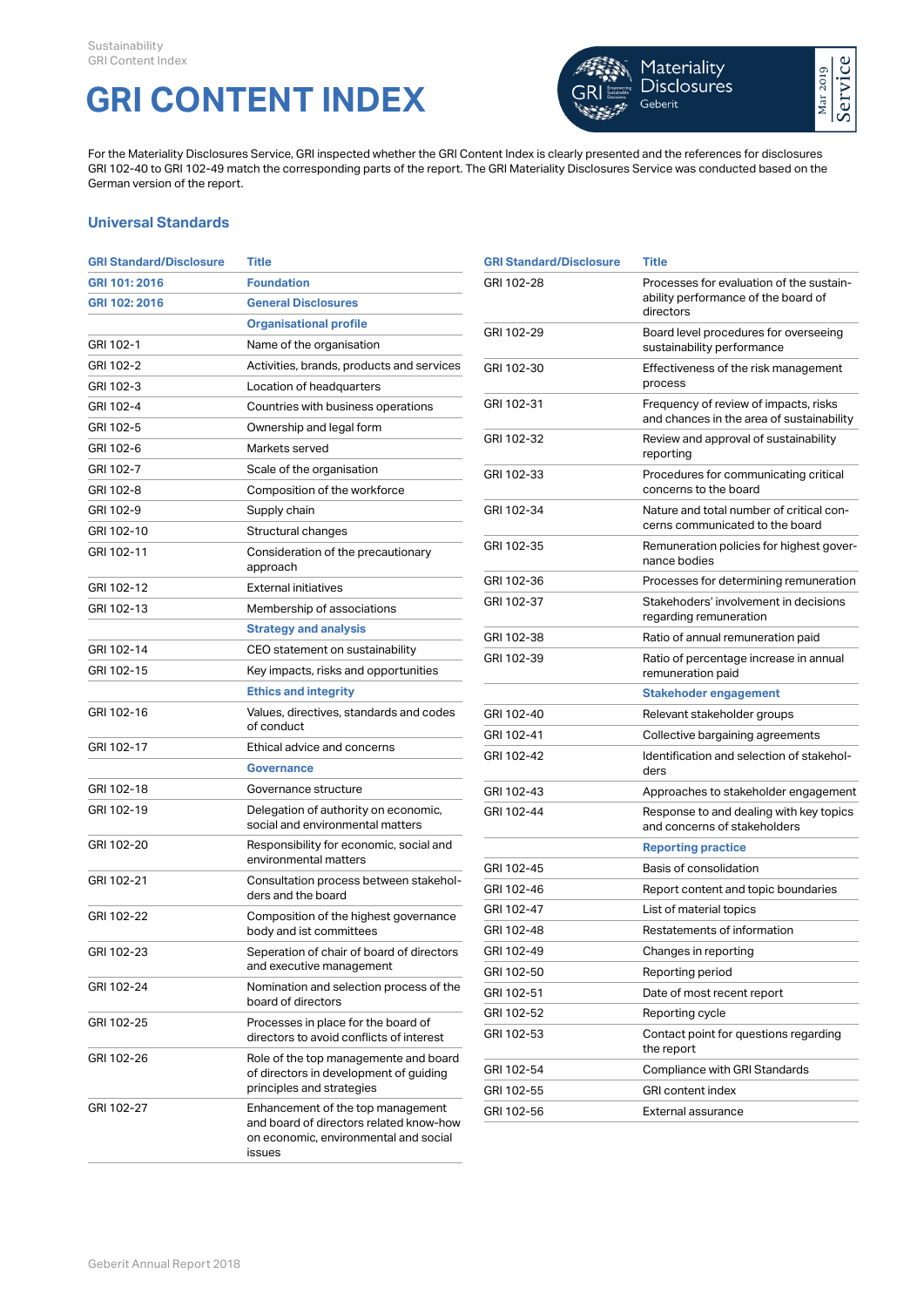## **GRI CONTENT INDEX**



For the Materiality Disclosures Service, GRI inspected whether the GRI Content Index is clearly presented and the references for disclosures GRI 102-40 to GRI 102-49 match the corresponding parts of the report. The GRI Materiality Disclosures Service was conducted based on the German version of the report.

## **Universal Standards**

| <b>GRI Standard/Disclosure</b> | Title                                                                                                        | <b>GRI Standard/Disclosure</b> | Title                                                                   |
|--------------------------------|--------------------------------------------------------------------------------------------------------------|--------------------------------|-------------------------------------------------------------------------|
| GRI 101: 2016                  | <b>Foundation</b>                                                                                            | GRI 102-28                     | Processes for evaluation of the sustain-                                |
| GRI 102: 2016                  | <b>General Disclosures</b>                                                                                   |                                | ability performance of the board of<br>directors                        |
|                                | <b>Organisational profile</b>                                                                                | GRI 102-29                     | Board level procedures for overseeing                                   |
| GRI 102-1                      | Name of the organisation                                                                                     |                                | sustainability performance                                              |
| GRI 102-2                      | Activities, brands, products and services                                                                    | GRI 102-30                     | Effectiveness of the risk management                                    |
| GRI 102-3                      | Location of headquarters                                                                                     |                                | process                                                                 |
| GRI 102-4                      | Countries with business operations                                                                           | GRI 102-31                     | Frequency of review of impacts, risks                                   |
| GRI 102-5                      | Ownership and legal form                                                                                     |                                | and chances in the area of sustainability                               |
| GRI 102-6                      | Markets served                                                                                               | GRI 102-32                     | Review and approval of sustainability<br>reporting                      |
| GRI 102-7                      | Scale of the organisation                                                                                    | GRI 102-33                     | Procedures for communicating critical                                   |
| GRI 102-8                      | Composition of the workforce                                                                                 |                                | concerns to the board                                                   |
| GRI 102-9                      | Supply chain                                                                                                 | GRI 102-34                     | Nature and total number of critical con-                                |
| GRI 102-10                     | Structural changes                                                                                           |                                | cerns communicated to the board                                         |
| GRI 102-11                     | Consideration of the precautionary<br>approach                                                               | GRI 102-35                     | Remuneration policies for highest gover-<br>nance bodies                |
| GRI 102-12                     | <b>External initiatives</b>                                                                                  | GRI 102-36                     | Processes for determining remuneration                                  |
| GRI 102-13                     | Membership of associations                                                                                   | GRI 102-37                     | Stakehoders' involvement in decisions<br>regarding remuneration         |
|                                | <b>Strategy and analysis</b>                                                                                 | GRI 102-38                     | Ratio of annual remuneration paid                                       |
| GRI 102-14                     | CEO statement on sustainability                                                                              | GRI 102-39                     | Ratio of percentage increase in annual                                  |
| GRI 102-15                     | Key impacts, risks and opportunities                                                                         |                                | remuneration paid                                                       |
|                                | <b>Ethics and integrity</b>                                                                                  |                                | <b>Stakehoder engagement</b>                                            |
| GRI 102-16                     | Values, directives, standards and codes                                                                      | GRI 102-40                     | Relevant stakeholder groups                                             |
|                                | of conduct                                                                                                   | GRI 102-41                     | Collective bargaining agreements                                        |
| GRI 102-17                     | Ethical advice and concerns<br><b>Governance</b>                                                             | GRI 102-42                     | Identification and selection of stakehol-                               |
|                                |                                                                                                              |                                | ders                                                                    |
| GRI 102-18                     | Governance structure                                                                                         | GRI 102-43                     | Approaches to stakeholder engagement                                    |
| GRI 102-19                     | Delegation of authority on economic,<br>social and environmental matters                                     | GRI 102-44                     | Response to and dealing with key topics<br>and concerns of stakeholders |
| GRI 102-20                     | Responsibility for economic, social and                                                                      |                                | <b>Reporting practice</b>                                               |
|                                | environmental matters                                                                                        | GRI 102-45                     | Basis of consolidation                                                  |
| GRI 102-21                     | Consultation process between stakehol-<br>ders and the board                                                 | GRI 102-46                     | Report content and topic boundaries                                     |
| GRI 102-22                     | Composition of the highest governance                                                                        | GRI 102-47                     | List of material topics                                                 |
|                                | body and ist committees                                                                                      | GRI 102-48                     | Restatements of information                                             |
| GRI 102-23                     | Seperation of chair of board of directors                                                                    | GRI 102-49                     | Changes in reporting                                                    |
|                                | and executive management                                                                                     | GRI 102-50                     | Reporting period                                                        |
| GRI 102-24                     | Nomination and selection process of the<br>board of directors                                                | GRI 102-51                     | Date of most recent report                                              |
| GRI 102-25                     | Processes in place for the board of                                                                          | GRI 102-52                     | Reporting cycle                                                         |
|                                | directors to avoid conflicts of interest                                                                     | GRI 102-53                     | Contact point for questions regarding<br>the report                     |
| GRI 102-26                     | Role of the top managemente and board<br>of directors in development of guiding<br>principles and strategies | GRI 102-54                     | Compliance with GRI Standards                                           |
|                                |                                                                                                              | GRI 102-55                     | GRI content index                                                       |
| GRI 102-27                     | Enhancement of the top management<br>and board of directors related know-how                                 | GRI 102-56                     | External assurance                                                      |
|                                | on economic, environmental and social<br>issues                                                              |                                |                                                                         |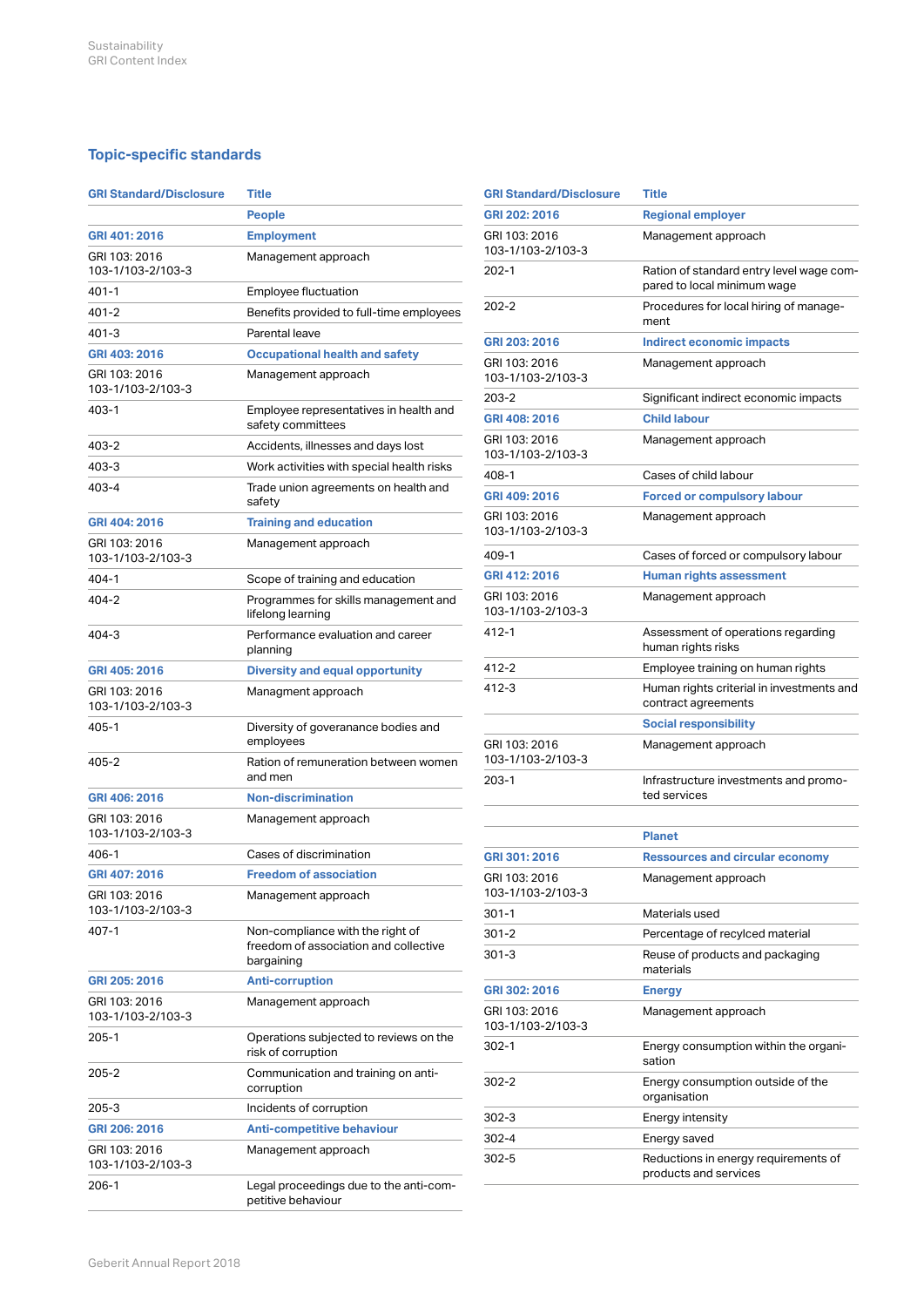## **Topic-specific standards**

| <b>GRI Standard/Disclosure</b>     | <b>Title</b>                                                                            |
|------------------------------------|-----------------------------------------------------------------------------------------|
|                                    | People                                                                                  |
| GRI 401: 2016                      | <b>Employment</b>                                                                       |
| GRI 103: 2016<br>103-1/103-2/103-3 | Management approach                                                                     |
| 401-1                              | <b>Employee fluctuation</b>                                                             |
| $401 - 2$                          | Benefits provided to full-time employees                                                |
| 401-3                              | Parental leave                                                                          |
| GRI 403: 2016                      | <b>Occupational health and safety</b>                                                   |
| GRI 103: 2016<br>103-1/103-2/103-3 | Management approach                                                                     |
| 403-1                              | Employee representatives in health and<br>safety committees                             |
| 403-2                              | Accidents, illnesses and days lost                                                      |
| 403-3                              | Work activities with special health risks                                               |
| 403-4                              | Trade union agreements on health and<br>safety                                          |
| GRI 404: 2016                      | <b>Training and education</b>                                                           |
| GRI 103: 2016<br>103-1/103-2/103-3 | Management approach                                                                     |
| 404-1                              | Scope of training and education                                                         |
| 404-2                              | Programmes for skills management and<br>lifelong learning                               |
| $404 - 3$                          | Performance evaluation and career<br>planning                                           |
| GRI 405: 2016                      | <b>Diversity and equal opportunity</b>                                                  |
| GRI 103: 2016<br>103-1/103-2/103-3 | Managment approach                                                                      |
| 405-1                              | Diversity of goveranance bodies and<br>employees                                        |
| 405-2                              | Ration of remuneration between women<br>and men                                         |
| GRI 406: 2016                      | <b>Non-discrimination</b>                                                               |
| GRI 103: 2016<br>103-1/103-2/103-3 | Management approach                                                                     |
| 406-1                              | Cases of discrimination                                                                 |
| GRI 407: 2016                      | <b>Freedom of association</b>                                                           |
| GRI 103: 2016<br>103-1/103-2/103-3 | Management approach                                                                     |
| 407-1                              | Non-compliance with the right of<br>freedom of association and collective<br>bargaining |
| GRI 205: 2016                      | <b>Anti-corruption</b>                                                                  |
| GRI 103: 2016<br>103-1/103-2/103-3 | Management approach                                                                     |
| 205-1                              | Operations subjected to reviews on the<br>risk of corruption                            |
| 205-2                              | Communication and training on anti-<br>corruption                                       |
| 205-3                              | Incidents of corruption                                                                 |
| GRI 206: 2016                      | <b>Anti-competitive behaviour</b>                                                       |
| GRI 103: 2016<br>103-1/103-2/103-3 | Management approach                                                                     |
| 206-1                              | Legal proceedings due to the anti-com-<br>petitive behaviour                            |

| <b>GRI Standard/Disclosure</b>     | Title                                                                   |
|------------------------------------|-------------------------------------------------------------------------|
| GRI 202: 2016                      | <b>Regional employer</b>                                                |
| GRI 103: 2016<br>103-1/103-2/103-3 | Management approach                                                     |
| $202 - 1$                          | Ration of standard entry level wage com-<br>pared to local minimum wage |
| $202 - 2$                          | Procedures for local hiring of manage-<br>ment                          |
| GRI 203: 2016                      | Indirect economic impacts                                               |
| GRI 103: 2016<br>103-1/103-2/103-3 | Management approach                                                     |
| 203-2                              | Significant indirect economic impacts                                   |
| GRI 408: 2016                      | <b>Child labour</b>                                                     |
| GRI 103: 2016<br>103-1/103-2/103-3 | Management approach                                                     |
| 408-1                              | Cases of child labour                                                   |
| GRI 409: 2016                      | <b>Forced or compulsory labour</b>                                      |
| GRI 103: 2016<br>103-1/103-2/103-3 | Management approach                                                     |
| 409-1                              | Cases of forced or compulsory labour                                    |
| GRI 412: 2016                      | <b>Human rights assessment</b>                                          |
| GRI 103: 2016<br>103-1/103-2/103-3 | Management approach                                                     |
| 412-1                              | Assessment of operations regarding<br>human rights risks                |
| 412-2                              | Employee training on human rights                                       |
| 412-3                              | Human rights criterial in investments and<br>contract agreements        |
|                                    | <b>Social responsibility</b>                                            |
| GRI 103: 2016<br>103-1/103-2/103-3 | Management approach                                                     |
| 203-1                              | Infrastructure investments and promo-<br>ted services                   |
|                                    | <b>Planet</b>                                                           |
| GRI 301: 2016                      | <b>Ressources and circular economy</b>                                  |
| GRI 103: 2016<br>103-1/103-2/103-3 | Management approach                                                     |
| 301-1                              | Materials used                                                          |
| 301-2                              | Percentage of recylced material                                         |
| 301-3                              | Reuse of products and packaging<br>materials                            |
| GRI 302: 2016                      | <b>Energy</b>                                                           |
| GRI 103: 2016<br>103-1/103-2/103-3 | Management approach                                                     |
| $302 - 1$                          | Energy consumption within the organi-<br>sation                         |
| 302-2                              | Energy consumption outside of the<br>organisation                       |
| 302-3                              | Energy intensity                                                        |
| 302-4                              | Energy saved                                                            |
| 302-5                              | Reductions in energy requirements of<br>products and services           |